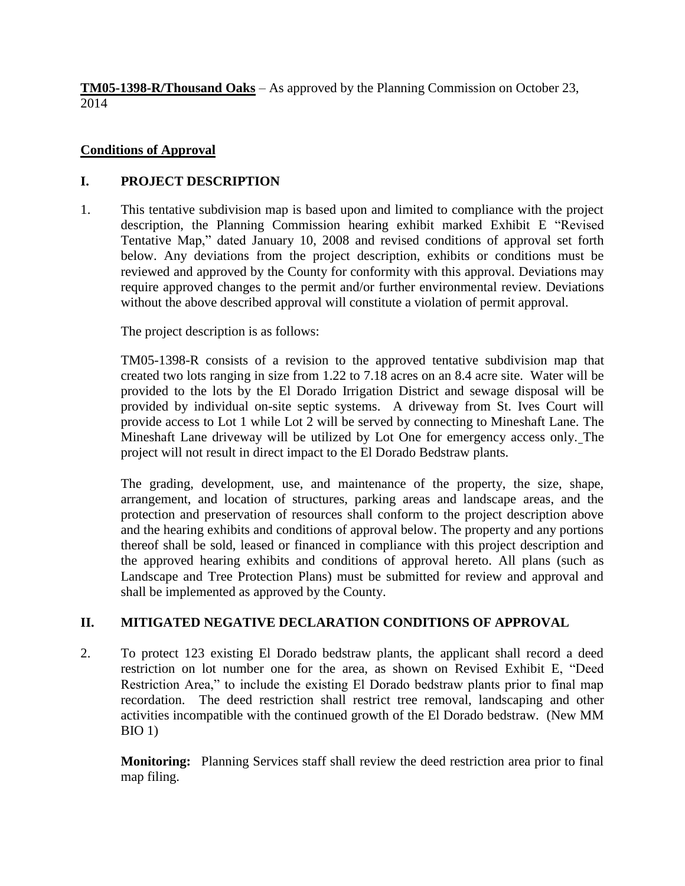**TM05-1398-R/Thousand Oaks** – As approved by the Planning Commission on October 23, 2014

## **Conditions of Approval**

## **I. PROJECT DESCRIPTION**

1. This tentative subdivision map is based upon and limited to compliance with the project description, the Planning Commission hearing exhibit marked Exhibit E "Revised Tentative Map," dated January 10, 2008 and revised conditions of approval set forth below. Any deviations from the project description, exhibits or conditions must be reviewed and approved by the County for conformity with this approval. Deviations may require approved changes to the permit and/or further environmental review. Deviations without the above described approval will constitute a violation of permit approval.

The project description is as follows:

TM05-1398-R consists of a revision to the approved tentative subdivision map that created two lots ranging in size from 1.22 to 7.18 acres on an 8.4 acre site. Water will be provided to the lots by the El Dorado Irrigation District and sewage disposal will be provided by individual on-site septic systems. A driveway from St. Ives Court will provide access to Lot 1 while Lot 2 will be served by connecting to Mineshaft Lane. The Mineshaft Lane driveway will be utilized by Lot One for emergency access only. The project will not result in direct impact to the El Dorado Bedstraw plants.

The grading, development, use, and maintenance of the property, the size, shape, arrangement, and location of structures, parking areas and landscape areas, and the protection and preservation of resources shall conform to the project description above and the hearing exhibits and conditions of approval below. The property and any portions thereof shall be sold, leased or financed in compliance with this project description and the approved hearing exhibits and conditions of approval hereto. All plans (such as Landscape and Tree Protection Plans) must be submitted for review and approval and shall be implemented as approved by the County.

# **II. MITIGATED NEGATIVE DECLARATION CONDITIONS OF APPROVAL**

2. To protect 123 existing El Dorado bedstraw plants, the applicant shall record a deed restriction on lot number one for the area, as shown on Revised Exhibit E, "Deed Restriction Area," to include the existing El Dorado bedstraw plants prior to final map recordation. The deed restriction shall restrict tree removal, landscaping and other activities incompatible with the continued growth of the El Dorado bedstraw. (New MM BIO 1)

**Monitoring:** Planning Services staff shall review the deed restriction area prior to final map filing.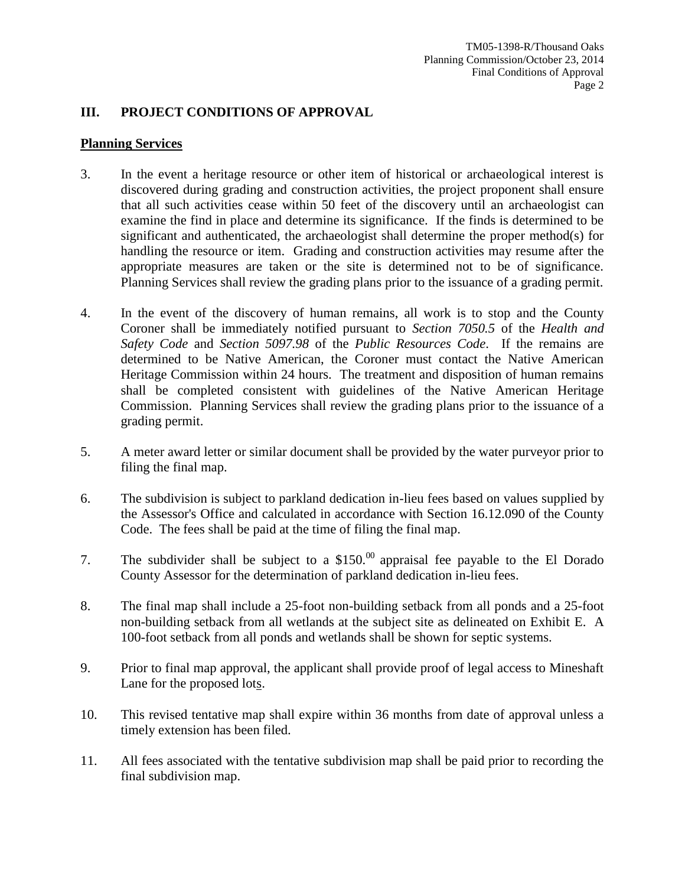### **III. PROJECT CONDITIONS OF APPROVAL**

#### **Planning Services**

- 3. In the event a heritage resource or other item of historical or archaeological interest is discovered during grading and construction activities, the project proponent shall ensure that all such activities cease within 50 feet of the discovery until an archaeologist can examine the find in place and determine its significance. If the finds is determined to be significant and authenticated, the archaeologist shall determine the proper method(s) for handling the resource or item. Grading and construction activities may resume after the appropriate measures are taken or the site is determined not to be of significance. Planning Services shall review the grading plans prior to the issuance of a grading permit.
- 4. In the event of the discovery of human remains, all work is to stop and the County Coroner shall be immediately notified pursuant to *Section 7050.5* of the *Health and Safety Code* and *Section 5097.98* of the *Public Resources Code*. If the remains are determined to be Native American, the Coroner must contact the Native American Heritage Commission within 24 hours. The treatment and disposition of human remains shall be completed consistent with guidelines of the Native American Heritage Commission. Planning Services shall review the grading plans prior to the issuance of a grading permit.
- 5. A meter award letter or similar document shall be provided by the water purveyor prior to filing the final map.
- 6. The subdivision is subject to parkland dedication in-lieu fees based on values supplied by the Assessor's Office and calculated in accordance with Section 16.12.090 of the County Code. The fees shall be paid at the time of filing the final map.
- 7. The subdivider shall be subject to a  $$150<sup>00</sup>$  appraisal fee payable to the El Dorado County Assessor for the determination of parkland dedication in-lieu fees.
- 8. The final map shall include a 25-foot non-building setback from all ponds and a 25-foot non-building setback from all wetlands at the subject site as delineated on Exhibit E. A 100-foot setback from all ponds and wetlands shall be shown for septic systems.
- 9. Prior to final map approval, the applicant shall provide proof of legal access to Mineshaft Lane for the proposed lots.
- 10. This revised tentative map shall expire within 36 months from date of approval unless a timely extension has been filed.
- 11. All fees associated with the tentative subdivision map shall be paid prior to recording the final subdivision map.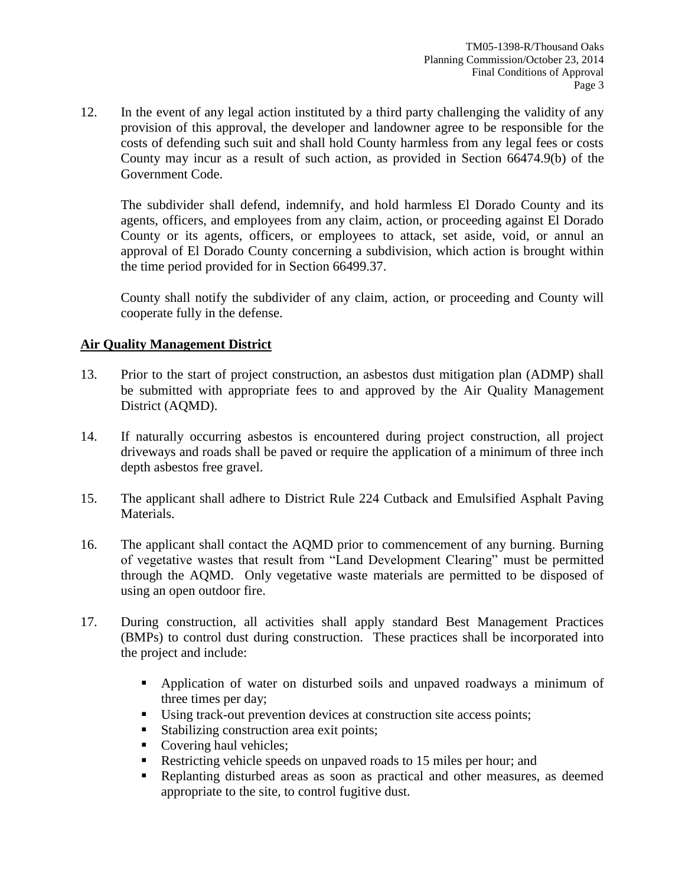12. In the event of any legal action instituted by a third party challenging the validity of any provision of this approval, the developer and landowner agree to be responsible for the costs of defending such suit and shall hold County harmless from any legal fees or costs County may incur as a result of such action, as provided in Section 66474.9(b) of the Government Code.

The subdivider shall defend, indemnify, and hold harmless El Dorado County and its agents, officers, and employees from any claim, action, or proceeding against El Dorado County or its agents, officers, or employees to attack, set aside, void, or annul an approval of El Dorado County concerning a subdivision, which action is brought within the time period provided for in Section 66499.37.

County shall notify the subdivider of any claim, action, or proceeding and County will cooperate fully in the defense.

### **Air Quality Management District**

- 13. Prior to the start of project construction, an asbestos dust mitigation plan (ADMP) shall be submitted with appropriate fees to and approved by the Air Quality Management District (AQMD).
- 14. If naturally occurring asbestos is encountered during project construction, all project driveways and roads shall be paved or require the application of a minimum of three inch depth asbestos free gravel.
- 15. The applicant shall adhere to District Rule 224 Cutback and Emulsified Asphalt Paving Materials.
- 16. The applicant shall contact the AQMD prior to commencement of any burning. Burning of vegetative wastes that result from "Land Development Clearing" must be permitted through the AQMD. Only vegetative waste materials are permitted to be disposed of using an open outdoor fire.
- 17. During construction, all activities shall apply standard Best Management Practices (BMPs) to control dust during construction. These practices shall be incorporated into the project and include:
	- Application of water on disturbed soils and unpaved roadways a minimum of three times per day;
	- Using track-out prevention devices at construction site access points;
	- Stabilizing construction area exit points;
	- Covering haul vehicles;
	- Restricting vehicle speeds on unpaved roads to 15 miles per hour; and
	- Replanting disturbed areas as soon as practical and other measures, as deemed appropriate to the site, to control fugitive dust.